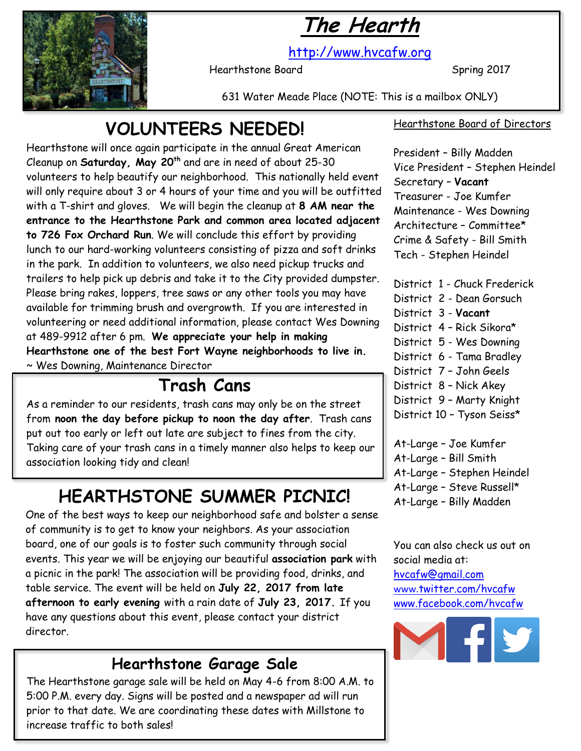



[http://www.hvcafw.org](http://www.hvcafw.org/)

Hearthstone Board Spring 2017

631 Water Meade Place (NOTE: This is a mailbox ONLY)

## **VOLUNTEERS NEEDED!**

Hearthstone will once again participate in the annual Great American Cleanup on **Saturday, May 20th** and are in need of about 25-30 volunteers to help beautify our neighborhood. This nationally held event will only require about 3 or 4 hours of your time and you will be outfitted with a T-shirt and gloves. We will begin the cleanup at **8 AM near the entrance to the Hearthstone Park and common area located adjacent to 726 Fox Orchard Run**. We will conclude this effort by providing lunch to our hard-working volunteers consisting of pizza and soft drinks in the park. In addition to volunteers, we also need pickup trucks and trailers to help pick up debris and take it to the City provided dumpster. Please bring rakes, loppers, tree saws or any other tools you may have available for trimming brush and overgrowth. If you are interested in volunteering or need additional information, please contact Wes Downing at 489-9912 after 6 pm. **We appreciate your help in making Hearthstone one of the best Fort Wayne neighborhoods to live in.** ~ Wes Downing, Maintenance Director

## **Trash Cans**

As a reminder to our residents, trash cans may only be on the street from **noon the day before pickup to noon the day after**. Trash cans put out too early or left out late are subject to fines from the city. Taking care of your trash cans in a timely manner also helps to keep our association looking tidy and clean!

# **HEARTHSTONE SUMMER PICNIC!**

One of the best ways to keep our neighborhood safe and bolster a sense of community is to get to know your neighbors. As your association board, one of our goals is to foster such community through social events. This year we will be enjoying our beautiful **association park** with a picnic in the park! The association will be providing food, drinks, and table service. The event will be held on **July 22, 2017 from late afternoon to early evening** with a rain date of **July 23, 2017.** If you have any questions about this event, please contact your district director.

### **Hearthstone Garage Sale**

The Hearthstone garage sale will be held on May 4-6 from 8:00 A.M. to 5:00 P.M. every day. Signs will be posted and a newspaper ad will run prior to that date. We are coordinating these dates with Millstone to increase traffic to both sales!

#### Hearthstone Board of Directors

President – Billy Madden Vice President – Stephen Heindel Secretary – **Vacant** Treasurer - Joe Kumfer Maintenance - Wes Downing Architecture – Committee\* Crime & Safety - Bill Smith Tech - Stephen Heindel

- District 1 Chuck Frederick
- District 2 Dean Gorsuch
- District 3 **Vacant**
- District 4 Rick Sikora\*
- District 5 Wes Downing
- District 6 Tama Bradley
- District 7 John Geels
- District 8 Nick Akey
- District 9 Marty Knight
- District 10 Tyson Seiss\*
- At-Large Joe Kumfer At-Large – Bill Smith At-Large – Stephen Heindel At-Large – Steve Russell\* At-Large – Billy Madden

You can also check us out on social media at: [hvcafw@gmail.com](mailto:hvcafw@gmail.com) www.[twitter.com/hvcafw](http://www.twitter.com/hvcafw) [www.facebook.com/hvcafw](http://www.facebook.com/hvcafw)